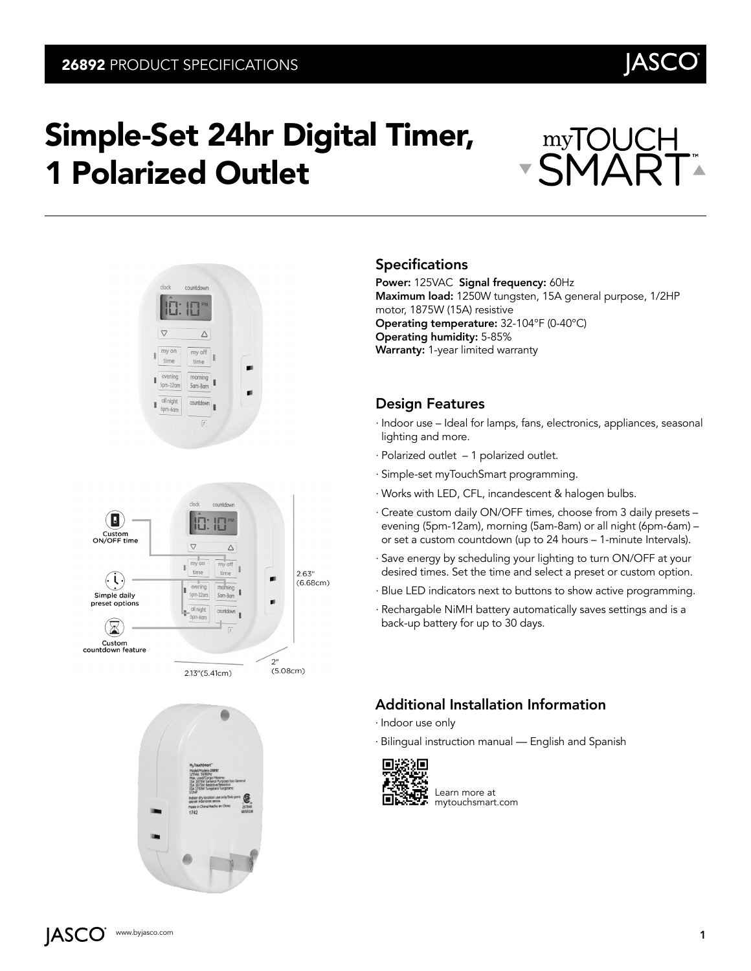# Simple-Set 24hr Digital Timer, 1 Polarized Outlet





2.13"(5.41cm)

 $(5.08cm)$ 



#### Specifications

Power: 125VAC Signal frequency: 60Hz Maximum load: 1250W tungsten, 15A general purpose, 1/2HP motor, 1875W (15A) resistive Operating temperature: 32-104°F (0-40°C) Operating humidity: 5-85% Warranty: 1-year limited warranty

#### Design Features

- ∙ Indoor use Ideal for lamps, fans, electronics, appliances, seasonal lighting and more.
- ∙ Polarized outlet 1 polarized outlet.
- ∙ Simple-set myTouchSmart programming.
- ∙ Works with LED, CFL, incandescent & halogen bulbs.
- ∙ Create custom daily ON/OFF times, choose from 3 daily presets evening (5pm-12am), morning (5am-8am) or all night (6pm-6am) – or set a custom countdown (up to 24 hours – 1-minute Intervals).
- ∙ Save energy by scheduling your lighting to turn ON/OFF at your desired times. Set the time and select a preset or custom option.
- ∙ Blue LED indicators next to buttons to show active programming.
- ∙ Rechargable NiMH battery automatically saves settings and is a back-up battery for up to 30 days.

### Additional Installation Information

- ∙ Indoor use only
- ∙ Bilingual instruction manual English and Spanish



Learn more at mytouchsmart.com